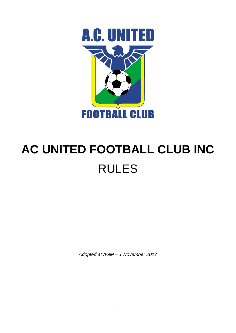

# **AC UNITED FOOTBALL CLUB INC** RULES

*Adopted at AGM – 1 November 2017*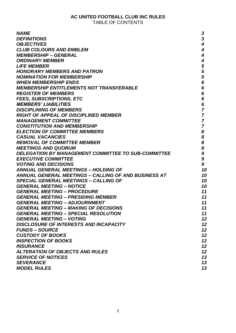## **AC UNITED FOOTBALL CLUB INC RULES** TABLE OF CONTENTS

| <b>NAME</b>                                                 | 3                       |
|-------------------------------------------------------------|-------------------------|
| <b>DEFINITIONS</b>                                          | $\overline{\mathbf{3}}$ |
| <b>OBJECTIVES</b>                                           | 4                       |
| <b>CLUB COLOURS AND EMBLEM</b>                              | 4                       |
| <b>MEMBERSHIP – GENERAL</b>                                 | $\boldsymbol{4}$        |
| <b>ORDINARY MEMBER</b>                                      | 4                       |
| <b>LIFE MEMBER</b>                                          | 5                       |
| <b>HONORARY MEMBERS AND PATRON</b>                          | 5                       |
| <b>NOMINATION FOR MEMBERSHIP</b>                            | 5                       |
| <b>WHEN MEMBERSHIP ENDS</b>                                 |                         |
|                                                             | 6                       |
| <b>MEMBERSHIP ENTITLEMENTS NOT TRANSFERABLE</b>             | 6                       |
| <b>REGISTER OF MEMBERS</b>                                  | 6                       |
| <b>FEES, SUBSCRIPTIONS, ETC</b>                             | 6                       |
| <b>MEMBERS' LIABILITIES</b>                                 | 6                       |
| <b>DISCIPLINING OF MEMBERS</b>                              | $\overline{7}$          |
| <b>RIGHT OF APPEAL OF DISCIPLINED MEMBER</b>                | $\overline{7}$          |
| <b>MANAGEMENT COMMITTEE</b>                                 | $\overline{7}$          |
| <b>CONSTITUTION AND MEMBERSHIP</b>                          | $\overline{7}$          |
| <b>ELECTION OF COMMITTEE MEMBERS</b>                        | 8                       |
| <b>CASUAL VACANCIES</b>                                     | 8                       |
| <b>REMOVAL OF COMMITTEE MEMBER</b>                          | 8                       |
| <b>MEETINGS AND QUORUM</b>                                  | 8                       |
| <b>DELEGATION BY MANAGEMENT COMMITTEE TO SUB-COMMITTEE</b>  | 9                       |
| <b>EXECUTIVE COMMITTEE</b>                                  | 9                       |
| <b>VOTING AND DECISIONS</b>                                 | 9                       |
| <b>ANNUAL GENERAL MEETINGS - HOLDING OF</b>                 | 10                      |
| <b>ANNUAL GENERAL MEETINGS – CALLING OF AND BUSINESS AT</b> | 10                      |
|                                                             |                         |
| <b>SPECIAL GENERAL MEETINGS - CALLING OF</b>                | 10                      |
| <b>GENERAL MEETING - NOTICE</b>                             | 10                      |
| <b>GENERAL MEETING - PROCEDURE</b>                          | 11                      |
| <b>GENERAL MEETING - PRESIDING MEMBER</b>                   | 11                      |
| <b>GENERAL MEETING - ADJOURNMENT</b>                        | 11                      |
| <b>GENERAL MEETING - MAKING OF DECISIONS</b>                | 11                      |
| <b>GENERAL MEETING - SPECIAL RESOLUTION</b>                 | 11                      |
| <b>GENERAL MEETING - VOTING</b>                             | 12                      |
| <b>DISCLOSURE OF INTERESTS AND INCAPACITY</b>               | 12                      |
| <b>FUNDS - SOURCE</b>                                       | 12                      |
| <b>CUSTODY OF BOOKS</b>                                     | 12                      |
| <b>INSPECTION OF BOOKS</b>                                  | 12                      |
| <b>INSURANCE</b>                                            | 12                      |
| <b>ALTERATION OF OBJECTS AND RULES</b>                      | 12                      |
| <b>SERVICE OF NOTICES</b>                                   | 13                      |
| <b>SEVERANCE</b>                                            | 13                      |
| <b>MODEL RULES</b>                                          | 13                      |
|                                                             |                         |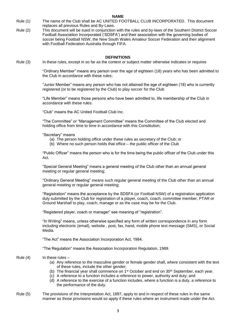- Rule (1) The name of the Club shall be AC UNITED FOOTBALL CLUB INCORPORATED. This document replaces all previous Rules and By-Laws.
- Rule (2) This document will be sued in conjunction with the rules and by-laws of the Southern District Soccer Football Association Incorporated ('SDSFA') and their association with the governing bodies of soccer being Football NSW, the New South Wales Amateur Soccer Federation and their alignment with Football Federation Australia through FIFA.

#### **DEFINITIONS**

Rule (3) In these rules, except in so far as the context or subject matter otherwise indicates or requires

"Ordinary Member" means any person over the age of eighteen (18) years who has been admitted to the Club in accordance with these rules;

"Junior Member" means any person who has not attained the age of eighteen (18) who is currently registered (or to be registered by the Club) to play soccer for the Club

"Life Member" means those persons who have been admitted to, life membership of the Club in accordance with these rules.

"Club" means the AC United Football Club Inc.

"The Committee" or "Management Committee" means the Committee of the Club elected and holding office from time to time in accordance with this Constitution;

"Secretary" means

- (a) The person holding office under these rules as secretary of the Club; or
- (b) Where no such person holds that office the public officer of the Club

"Public Officer" means the person who is for the time being the public officer of the Club under this Act.

"Special General Meeting" means a general meeting of the Club other than an annual general meeting or regular general meeting;

"Ordinary General Meeting" means such regular general meeting of the Club other than an annual general meeting or regular general meeting;

"Registration" means the acceptance by the SDSFA (or Football NSW) of a registration application duly submitted by the Club for registration of a player, coach, coach, committee member, PTAR or Ground Marshall to play, coach, manage or as the case may be for the Club.

"Registered player, coach or manager" see meaning of "registration".

"In Writing" means, unless otherwise specified any form of written correspondence in any form including electronic (email), website , post, fax, hand, mobile phone text message (SMS), or Social Media.

"The Act" means the Association Incorporation Act, 1984.

"The Regulation" means the Association Incorporation Regulation, 1989.

#### Rule  $(4)$  In these rules –

- (a) Any reference to the masculine gender or female gender shall, where consistent with the text of these rules, include the other gender;
- (b) The financial year shall commence on  $1<sup>st</sup>$  October and end on  $30<sup>th</sup>$  September, each year.
- (c) A reference to a function includes a reference to power, authority and duty; and
- (d) A reference to the exercise of a function includes, where a function is a duty, a reference to the performance of the duty.
- Rule (5) The provisions of the Interpretation Act, 1897, apply to and in respect of these rules in the same manner as those provisions would so apply if these rules where an instrument made under the Act.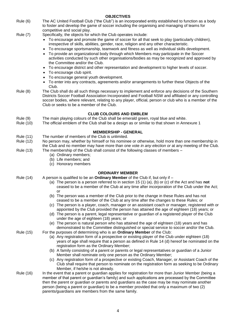| Rule (6)                             | The AC United Football Club ("the Club") is an incorporated entity established to function as a body<br>to foster and develop the game of soccer including the organising and managing of teams for<br>competitive and social play.                                                                                                                                                                                                                                                                                                                                                                                                                                                                                                                                                                                                                                                                                                                                                                                                                                                              |
|--------------------------------------|--------------------------------------------------------------------------------------------------------------------------------------------------------------------------------------------------------------------------------------------------------------------------------------------------------------------------------------------------------------------------------------------------------------------------------------------------------------------------------------------------------------------------------------------------------------------------------------------------------------------------------------------------------------------------------------------------------------------------------------------------------------------------------------------------------------------------------------------------------------------------------------------------------------------------------------------------------------------------------------------------------------------------------------------------------------------------------------------------|
| <b>Rule (7)</b>                      | Specifically, the objects for which the Club operates include:<br>• To encourage and promote the game of soccer for all that seek to play (particularly children),<br>irrespective of skills, abilities, gender, race, religion and any other characteristic.<br>• To encourage sportsmanship, teamwork and fitness as well as individual skills development.<br>To provide an organizational body through which Members may participate in the Soccer<br>activities conducted by such other organisations/bodies as may be recognized and approved by<br>the Committee and/or the Club.<br>To encourage district and other representation and development to higher levels of soccer.<br>$\bullet$<br>To encourage club spirit.<br>To encourage general youth development.<br>• To enter into any contracts, agreements and/or arrangements to further these Objects of the<br>Club.                                                                                                                                                                                                            |
| Rule (8)                             | The Club shall do all such things necessary to implement and enforce any decisions of the Southern<br>Districts Soccer Football Association Incorporated and Football NSW and affiliated or any controlling<br>soccer bodies, where relevant, relating to any player, official, person or club who is a member of the<br>Club or seeks to be a member of the Club.                                                                                                                                                                                                                                                                                                                                                                                                                                                                                                                                                                                                                                                                                                                               |
|                                      | <b>CLUB COLOURS AND EMBLEM</b>                                                                                                                                                                                                                                                                                                                                                                                                                                                                                                                                                                                                                                                                                                                                                                                                                                                                                                                                                                                                                                                                   |
| Rule (9)<br>Rule (10)                | The main playing colours of the Club shall be emerald green, royal blue and white.<br>The official emblem of the Club shall be a design as or similar to that shown in Annexure 1                                                                                                                                                                                                                                                                                                                                                                                                                                                                                                                                                                                                                                                                                                                                                                                                                                                                                                                |
|                                      | <b>MEMBERSHIP - GENERAL</b>                                                                                                                                                                                                                                                                                                                                                                                                                                                                                                                                                                                                                                                                                                                                                                                                                                                                                                                                                                                                                                                                      |
| <b>Rule (11)</b>                     | The number of members of the Club is unlimited.                                                                                                                                                                                                                                                                                                                                                                                                                                                                                                                                                                                                                                                                                                                                                                                                                                                                                                                                                                                                                                                  |
| Rule (12)                            | No person may, whether by himself or his nominee or otherwise, hold more than one membership in<br>the Club and no member may have more than one vote in any election or at any meeting of the Club.                                                                                                                                                                                                                                                                                                                                                                                                                                                                                                                                                                                                                                                                                                                                                                                                                                                                                             |
| <b>Rule (13)</b>                     | The membership of the Club shall consist of the following classes of members -<br>(a) Ordinary members;<br>(b) Life members; and<br>(c) Honorary members                                                                                                                                                                                                                                                                                                                                                                                                                                                                                                                                                                                                                                                                                                                                                                                                                                                                                                                                         |
|                                      | <b>ORDINARY MEMBER</b>                                                                                                                                                                                                                                                                                                                                                                                                                                                                                                                                                                                                                                                                                                                                                                                                                                                                                                                                                                                                                                                                           |
| <b>Rule (14)</b><br><b>Rule (15)</b> | A person is qualified to be an Ordinary Member of the Club if, but only if $-$<br>(a) The person is a person referred to in section 15 (1) (a), (b) or (c) of the Act and has <b>not</b><br>ceased to be a member of the Club at any time after incorporation of the Club under the Act;<br>or<br>(b) The person was a member of the Club prior to the change in these Rules and has not<br>ceased to be a member of the Club at any time after the changes to these Rules; or<br>(c) The person is a player, coach, manager or an assistant coach or manager, registered with or<br>appointed by the Club provided the person has attained the age of eighteen (18) years; or<br>(d) The person is a parent, legal representative or guardian of a registered player of the Club<br>under the age of eighteen (18) years; or<br>(e) The person is natural person who has attained the age of eighteen (18) years and has<br>demonstrated to the Committee distinguished or special service to soccer and/or the Club.<br>For the purposes of determining who is an Ordinary Member of the Club: |
|                                      | (a) Any registration form of a prospective or existing player of the Club under eighteen (18)<br>years of age shall require that a person as defined in Rule 14 (d) hereof be nominated on the<br>registration form as the Ordinary Member;<br>(b) A family consisting of a parent or parents or legal representatives or guardian of a Junior<br>Member shall nominate only one person as the Ordinary Member;<br>(c) Any registration form of a prospective or existing Coach, Manager, or Assistant Coach of the<br>Club shall require that person to nominate on the registration form as seeking to be Ordinary<br>Member, if he/she is not already.                                                                                                                                                                                                                                                                                                                                                                                                                                        |
| <b>Rule (16)</b>                     | In the event that a parent or guardian applies for registration for more than Junior Member (being a<br>member of that parent or guardian's family) and such applications are processed by the Committee<br>then the parent or guardian or parents and guardians as the case may be may nominate another<br>person (being a parent or guardian) to be a member provided that only a maximum of two (2)                                                                                                                                                                                                                                                                                                                                                                                                                                                                                                                                                                                                                                                                                           |

**OBJECTIVES**

4

parents/guardians are members from the same family.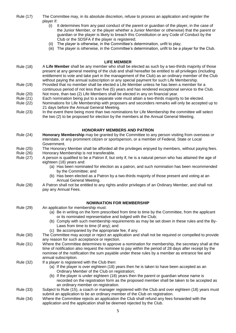Rule (17) The Committee may, in its absolute discretion, refuse to process an application and register the player if:

- (i) It determines from any past conduct of the parent or guardian of the player, in the case of the Junior Member, or the player whether a Junior Member or otherwise) that the parent or guardian or the player is likely to breach this Constitution or any Code of Conduct by the Club or the SDSFA if the player is registered;
- (ii) The player is otherwise, in the Committee's determination, unfit to play;
- (iii) The player is otherwise, in the Committee's determination, unfit to be a player for the Club.

#### **LIFE MEMBER**

- Rule (18) A **Life Member** shall be any member who shall be elected as such by a two-thirds majority of those present at any general meeting of the club and shall hereafter be entitled to all privileges (including entitlement to vote and take part in the management of the Club) as an ordinary member of the Club without paying the annual subscription or any special payment for such Life Membership.
- Rule (19) Provided that no member shall be elected a Life Member unless he has been a member for a continuous period of not less than five (5) years and has rendered exceptional service to the Club. Rule (20) Not more, than two (2) Life Members shall be elected in any on financial year.
- 
- Rule (21) Each nomination being put to a separate vote must attain a two-thirds majority to be elected. Rule (22) Nominations for Life Membership with proposers and seconders remarks will only be accepted up to
- 21 days before the Annual General Meeting.
- Rule (23) In the event there being more than two nominations for Life Membership the committee will select the two (2) to be proposed for election by the members at the Annual General Meeting.

#### **HONORARY MEMBERS AND PATRON**

- Rule (24) **Honorary Membership** may be granted by the Committee to any person visiting from overseas or interstate, or any prominent citizen or sportsperson, or a member of Federal, State or Local Government.
- Rule (25) The Honorary Member shall be afforded all the privileges enjoyed by members, without paying fees.
- Rule (26) Honorary Membership is not transferable.
- Rule (27) A person is qualified to be a Patron if, but only if, he is a natural person who has attained the age of eighteen (18) years and:
	- (a) Has been nominated for election as a patron, and such nomination has been recommended by the Committee; and
	- (b) Has been elected as a Patron by a two-thirds majority of those present and voting at an Annual General Meeting.
- Rule (28) A Patron shall not be entitled to any rights and/or privileges of an Ordinary Member, and shall not pay any Annual Fees.
- 

#### **NOMINATION FOR MEMBERSHIP**

- Rule (29) An application for membership must: (a) Be in writing on the form prescribed from time to time by the Committee, from the applicant or its nominated representative and lodged with the Club; (b) Comply with such membership requirements as may be set down in these rules and the By-Laws from time to time (if any); and (c) Be accompanied by the appropriate fee, if any. Rule (30) The Committee may accept or reject an application and shall not be required or compelled to provide any reason for such acceptance or rejection. Rule (31) Where the Committee determines to approve a nomination for membership, the secretary shall at the time of notification also request the nominee to pay within the period of 28 days after receipt by the nominee of the notification the sum payable under these rules by a member as entrance fee and annual subscription. Rule (32) If a player is registered with the Club then: (a) If the player is over eighteen (18) years then he is taken to have been accepted as an Ordinary Member of the Club on registration; (b) If the player is under eighteen (18) years then the parent or guardian whose name is recorded on the registration form as the proposed member shall be taken to be accepted as an ordinary member on registration. Rule (33) Subject to Rule (15), a coach or manager registered with the Club and over eighteen (18) years must submit an application to be an ordinary member of the Club on registration.
- Rule (34) Where the Committee rejects an application the Club shall refund any fees forwarded with the application and the application shall be deemed rejected by the Club.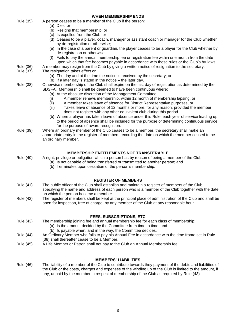|                             | (a) Dies; or<br>(b) Resigns that membership; or                                                                                                                                                                                       |  |
|-----------------------------|---------------------------------------------------------------------------------------------------------------------------------------------------------------------------------------------------------------------------------------|--|
|                             | (c) Is expelled from the Club; or                                                                                                                                                                                                     |  |
|                             | (d) Ceases to be a player, coach, manager or assistant coach or manager for the Club whether<br>by de-registration or otherwise;                                                                                                      |  |
|                             | (e) In the case of a parent or guardian, the player ceases to be a player for the Club whether by<br>de-registration or otherwise;                                                                                                    |  |
|                             | (f) Fails to pay the annual membership fee or registration fee within one month from the date<br>upon which that fee becomes payable in accordance with these rules or the Club's by-laws.                                            |  |
| Rule (36)                   | A member may resign from the Club by giving a written notice of resignation to the secretary.                                                                                                                                         |  |
| Rule (37)                   | The resignation takes effect on:<br>(a) The day and at the time the notice is received by the secretary; or                                                                                                                           |  |
|                             | (b) If a later day is stated in the notice $-$ the later day.                                                                                                                                                                         |  |
| Rule (38)                   | Otherwise membership of the Club shall expire on the last day of registration as determined by the<br>SDSFA. Membership shall be deemed to have been continuous where:<br>(a) At the absolute discretion of the Management Committee: |  |
|                             | A member renews membership, within 12 month of membership lapsing, or<br>(i)                                                                                                                                                          |  |
|                             | A member takes leave of absence for District Representative purposes, or<br>(ii)                                                                                                                                                      |  |
|                             | Takes leave of absence of 12 months or more, for any reason, provided the member<br>(iii)                                                                                                                                             |  |
|                             | does not register with any other equivalent club during this period.<br>(b) Where a player has taken leave of absence under this Rule, each year of service leading up                                                                |  |
|                             | to the period of absence shall be included for the purpose of determining continuous service<br>for the purpose of award recognition.                                                                                                 |  |
| Rule (39)                   | Where an ordinary member of the Club ceases to be a member, the secretary shall make an                                                                                                                                               |  |
|                             | appropriate entry in the register of members recording the date on which the member ceased to be<br>an ordinary member.                                                                                                               |  |
|                             |                                                                                                                                                                                                                                       |  |
|                             | <b>MEMBERSHIP ENTITLEMENTS NOT TRANSFERABLE</b>                                                                                                                                                                                       |  |
| <b>Rule (40)</b>            | A right, privilege or obligation which a person has by reason of being a member of the Club;                                                                                                                                          |  |
|                             | (a) Is not capable of being transferred or transmitted to another person; and                                                                                                                                                         |  |
|                             | (b) Terminates upon cessation of the person's membership.                                                                                                                                                                             |  |
|                             |                                                                                                                                                                                                                                       |  |
| Rule (41)                   | <b>REGISTER OF MEMBERS</b><br>The public officer of the Club shall establish and maintain a register of members of the Club                                                                                                           |  |
|                             | specifying the name and address of each person who is a member of the Club together with the date<br>on which the person became a member.                                                                                             |  |
| Rule (42)                   | The register of members shall be kept at the principal place of administration of the Club and shall be                                                                                                                               |  |
|                             | open for inspection, free of charge, by any member of the Club at any reasonable hour.                                                                                                                                                |  |
|                             |                                                                                                                                                                                                                                       |  |
|                             | <b>FEES, SUBSCRIPTIONS, ETC</b>                                                                                                                                                                                                       |  |
| <b>Rule (43)</b>            | The membership joining fee and annual membership fee for each class of membership;                                                                                                                                                    |  |
|                             | (a) Is the amount decided by the Committee from time to time; and<br>(b) Is payable when, and in the way, the Committee decides.                                                                                                      |  |
| Rule (44)                   | An Ordinary Member who fails to pay his Annual Fee in accordance with the time frame set in Rule                                                                                                                                      |  |
|                             | (38) shall thereafter cease to be a Member.                                                                                                                                                                                           |  |
| <b>Rule (45)</b>            | A Life Member or Patron shall not pay to the Club an Annual Membership fee.                                                                                                                                                           |  |
|                             |                                                                                                                                                                                                                                       |  |
| <b>MEMBERS' LIABILITIES</b> |                                                                                                                                                                                                                                       |  |
| <b>Rule (46)</b>            | The liability of a member of the Club to contribute towards they payment of the debts and liabilities of                                                                                                                              |  |
|                             | the Club or the costs, charges and expenses of the winding up of the Club is limited to the amount, if<br>any, unpaid by the member in respect of membership of the Club as required by Rule (43).                                    |  |

**WHEN MEMBERSHIP ENDS**

Rule (35) A person ceases to be a member of the Club if the person:

6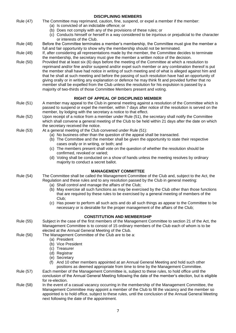| <b>Rule (47)</b> | The Committee may reprimand, caution, fine, suspend, or expel a member if the member:                                                                                                             |
|------------------|---------------------------------------------------------------------------------------------------------------------------------------------------------------------------------------------------|
|                  | (a) Is convicted of an indictable offence; or                                                                                                                                                     |
|                  | (b) Does not comply with any of the provisions of these rules; or                                                                                                                                 |
|                  | (c) Conducts himself or herself in a way considered to be injurious or prejudicial to the character                                                                                               |
|                  | or interests of the Club.                                                                                                                                                                         |
| <b>Rule (48)</b> | Before the Committee terminates a member's membership, the Committee must give the member a                                                                                                       |
|                  | full and fair opportunity to show why the membership should not be terminated.                                                                                                                    |
| <b>Rule (49)</b> | If, after considering all representations made by the member, the Committee decides to terminate                                                                                                  |
|                  | the membership, the secretary must give the member a written notice of the decision.                                                                                                              |
| Rule (50)        | Provided that at least six (6) days before the meeting of the Committee at which a resolution to                                                                                                  |
|                  | reprimand and/or fine and/or suspend and/or expel such member or any combination thereof is put                                                                                                   |
|                  | the member shall have had notice in writing of such meeting and of what is alleged against him and                                                                                                |
|                  | that he shall at such meeting and before the passing of such resolution have had an opportunity of                                                                                                |
|                  | giving orally or in writing any explanation or defence he may think fit and provided further that no                                                                                              |
|                  | member shall be expelled from the Club unless the resolution for his expulsion is passed by a                                                                                                     |
|                  | majority of two-thirds of those Committee Members present and voting.                                                                                                                             |
|                  |                                                                                                                                                                                                   |
|                  | RIGHT OF APPEAL OF DISCIPLINED MEMBER                                                                                                                                                             |
| Rule (51)        | A member may appeal to the Club in general meeting against a resolution of the Committee which is                                                                                                 |
|                  | passed to suspend or expel the member, within 7 days after notice of the resolution is served on the                                                                                              |
|                  | member, by lodging with the secretary a notice to that effect.                                                                                                                                    |
| Rule (52)        | Upon receipt of a notice from a member under Rule (51), the secretary shall notify the Committee                                                                                                  |
|                  | which shall convene a general meeting of the Club to be held within 21 days after the date on which                                                                                               |
|                  | the secretary received the notice.                                                                                                                                                                |
| Rule (53)        | At a general meeting of the Club convened under Rule (51):                                                                                                                                        |
|                  | (a) No business other than the question of the appeal shall be transacted.                                                                                                                        |
|                  | (b) The Committee and the member shall be given the opportunity to state their respective<br>cases orally or in writing, or both; and                                                             |
|                  | (c) The members present shall vote on the question of whether the resolution should be                                                                                                            |
|                  | confirmed, revoked or varied;                                                                                                                                                                     |
|                  | (d) Voting shall be conducted on a show of hands unless the meeting resolves by ordinary                                                                                                          |
|                  | majority to conduct a secret ballot.                                                                                                                                                              |
|                  |                                                                                                                                                                                                   |
|                  | <b>MANAGEMENT COMMITTEE</b>                                                                                                                                                                       |
| Rule (54)        | The Committee shall be called the Management Committee of the Club and, subject to the Act, the                                                                                                   |
|                  | Regulation and these rules and to any resolution passed by the Club in general meeting:                                                                                                           |
|                  | (a) Shall control and manage the affairs of the Club;                                                                                                                                             |
|                  | (b) May exercise all such functions as may be exercised by the Club other than those functions                                                                                                    |
|                  | that are required by these rules to be exercised by a general meeting of members of the                                                                                                           |
|                  | Club;                                                                                                                                                                                             |
|                  | (c) Has power to perform all such acts and do all such things as appear to the Committee to be                                                                                                    |
|                  | necessary or is desirable for the proper management of the affairs of the Club;                                                                                                                   |
|                  | <b>CONSTITUTION AND MEMBERSHIP</b>                                                                                                                                                                |
| Rule (55)        |                                                                                                                                                                                                   |
|                  | Subject in the case of the first members of the Management Committee to section 21 of the Act, the<br>Management Committee is to consist of 15 ordinary members of the Club each of whom is to be |
|                  | elected at the Annual General Meeting of the Club.                                                                                                                                                |
| Rule (56)        | The Management Committee of the Club are to be a:                                                                                                                                                 |
|                  | (a) President                                                                                                                                                                                     |
|                  | (b) Vice President                                                                                                                                                                                |
|                  | (c) Treasurer                                                                                                                                                                                     |
|                  | (d) Registrar                                                                                                                                                                                     |
|                  | (e) Secretary                                                                                                                                                                                     |
|                  | And 10 other members appointed at an Annual General Meeting and hold such other<br>(1)                                                                                                            |
|                  | positions as deemed appropriate from time to time by the Management Committee.                                                                                                                    |
| Rule (57)        | Each member of the Management Committee is, subject to these rules, to hold office until the                                                                                                      |
|                  | conclusion of the Annual General Meeting following the date of the member's election, but is eligible                                                                                             |
|                  | for re-election.                                                                                                                                                                                  |
| Rule (58)        | In the event of a casual vacancy occurring in the membership of the Management Committee, the                                                                                                     |
|                  | Management Committee may appoint a member of the Club to fill the vacancy and the member so                                                                                                       |
|                  | appointed is to hold office, subject to these rules, until the conclusion of the Annual General Meeting                                                                                           |
|                  | next following the date of the appointment.                                                                                                                                                       |
|                  |                                                                                                                                                                                                   |

**DISCIPLINING MEMBERS**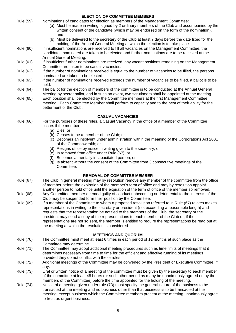#### **ELECTION OF COMMITTEE MEMBERS** Rule (59) Nominations of candidates for election as members of the Management Committee: (a) Must be made in writing, signed by 2 ordinary members of the Club and accompanied by the written consent of the candidate (which may be endorsed on the form of the nomination), and (b) Must be delivered to the secretary of the Club at least 7 days before the date fixed for the holding of the Annual General Meeting at which the election is to take place. Rule (60) If insufficient nominations are received to fill all vacancies on the Management Committee, the candidates nominated are taken to be elected and further nominations are to be received at the Annual General Meeting. Rule (61) If insufficient further nominations are received, any vacant positions remaining on the Management Committee are taken to be casual vacancies. Rule (62) If the number of nominations received is equal to the number of vacancies to be filled, the persons nominated are taken to be elected. Rule (63) If the number of nominations received exceeds the number of vacancies to be filled, a ballot is to be held. Rule (64) The ballot for the election of members of the committee is to be conducted at the Annual General Meeting by secret ballot, and in such an event, two scrutineers shall be appointed at the meeting. Rule (65) Each position shall be elected by the Committee members at the first Management Committee meeting. Each Committee Member shall perform to capacity and to the best of their ability for the betterment of the Club. **CASUAL VACANCIES** Rule (66) For the purposes of these rules, a Casual Vacancy in the office of a member of the Committee occurs if the member: (a) Dies, or (b) Ceases to be a member of the Club; or (c) Becomes an insolvent under administration within the meaning of the Corporations Act 2001 of the Commonwealth; or (d) Resigns office by notice in writing given to the secretary; or (e) Is removed from office under Rule (67), or (f) Becomes a mentally incapacitated person; or (g) Is absent without the consent of the Committee from 3 consecutive meetings of the Committee. **REMOVAL OF COMMITTEE MEMBER** Rule (67) The Club in general meeting may by resolution remove any member of the committee from the office of member before the expiration of the member's term of office and may by resolution appoint another person to hold office until the expiration of the term of office of the member so removed. Rule (68) Any Committee member deemed guilty of conduct unbecoming or detrimental to the interests of the Club may be suspended form their position by the Committee. Rule (69) If a member of the Committee to whom a proposed resolution referred to in Rule (67) relates makes representations in writing to the secretary or president (not exceeding a reasonable length) and requests that the representation be notified to the members of the Club, the secretary or the president may send a copy of the representations to each member of the Club or, if the representations are not so sent, the member is entitled to require the representations be read out at the meeting at which the resolution is considered. **MEETINGS AND QUORUM** Rule (70) The Committee must meet at least 6 times in each period of 12 months at such place as the Committee may determine. Rule (71) The Committee may adopt additional meeting procedures such as time limits of meetings that it determines necessary from time to time for the efficient and effective running of its meetings provided they do not conflict with these rules.

- Rule (72) Additional meetings of the Committee may be convened by the President or Executive Committee, if any.
- Rule (73) Oral or written notice of a meeting of the committee must be given by the secretary to each member of the committee at least 48 hours (or such other period as many be unanimously agreed on by the members of the Committee) before the time appointed for the holding of the meeting.
- Rule (74) Notice of a meeting given under rule (73) must specify the general nature of the business to be transacted at the meeting and no business other than that business is to be transacted at the meeting, except business which the Committee members present at the meeting unanimously agree to treat as urgent business.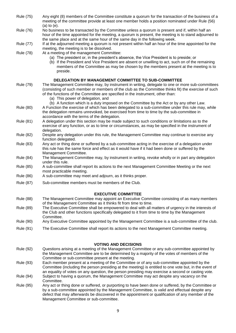| Rule (75)        | Any eight (8) members of the Committee constitute a quorum for the transaction of the business of a<br>meeting of the committee provide at least one member holds a position nominated under Rule (56)<br>$(a)$ to $(e)$ .                                                                                                                   |
|------------------|----------------------------------------------------------------------------------------------------------------------------------------------------------------------------------------------------------------------------------------------------------------------------------------------------------------------------------------------|
| <b>Rule (76)</b> | No business to be transacted by the Committee unless a quorum is present and if, within half an<br>hour of the time appointed for the meeting, a quorum is present, the meeting is to stand adjourned to<br>the same place and at the same hour of the same day in the following week.                                                       |
| Rule (77)        | If at the adjourned meeting a quorum is not present within half an hour of the time appointed for the<br>meeting, the meeting is to be dissolved.                                                                                                                                                                                            |
| <b>Rule (78)</b> | At a meeting of the management Committee:<br>(a) The president or, in the president's absence, the Vice President is to preside; or<br>(b) If the President and Vice President are absent or unwilling to act, such on of the remaining<br>members of the Committee as may be chosen by the members present at the meeting is to<br>preside. |
|                  | DELEGATION BY MANAGEMENT COMMITTEE TO SUB-COMMITTEE                                                                                                                                                                                                                                                                                          |
| <b>Rule (79)</b> | The Management Committee may, by instrument in writing, delegate to one or more sub-committees<br>(consisting of such member or members of the club as the Committee thinks fit) the exercise of such<br>of the functions of the Committee are specified in the instrument, other than:<br>(a) This power of delegation, and                 |
| <b>Rule (80)</b> | (b) A function which is a duty imposed on the Committee by the Act or by any other Law.<br>A Function the exercise of which has been delegated to a sub-committee under this rule may, while<br>the delegation remains unrevoked, be exercised from time to time by the sub-committee in                                                     |
| Rule (81)        | accordance with the terms of the delegation.<br>A delegation under this section may be made subject to such conditions or limitations as to the<br>exercise of any function, or as to time or circumstances, as may be specified in the instrument of<br>delegation.                                                                         |
| <b>Rule (82)</b> | Despite any delegation under this rule, the Management Committee may continue to exercise any<br>function delegated.                                                                                                                                                                                                                         |
| Rule (83)        | Any act or thing done or suffered by a sub-committee acting in the exercise of a delegation under<br>this rule has the same force and effect as it would have if it had been done or suffered by the<br>Management Committee.                                                                                                                |
| <b>Rule (84)</b> | The Management Committee may, by instrument in writing, revoke wholly or in part any delegation<br>under this rule.                                                                                                                                                                                                                          |
| <b>Rule (85)</b> | A sub-committee shall report its actions to the next Management Committee Meeting or the next<br>most practicable meeting.                                                                                                                                                                                                                   |
| <b>Rule (86)</b> | A sub-committee may meet and adjourn, as it thinks proper.                                                                                                                                                                                                                                                                                   |
| <b>Rule (87)</b> | Sub-committee members must be members of the Club.                                                                                                                                                                                                                                                                                           |
|                  | <b>EXECUTIVE COMMITTEE</b>                                                                                                                                                                                                                                                                                                                   |
| <b>Rule (88)</b> | The Management Committee may appoint an Executive Committee consisting of as many members<br>of the Management Committee as it thinks fit from time to time.                                                                                                                                                                                 |
| <b>Rule (89)</b> | The Executive Committee shall be empowered to deal with all matters of urgency in the interests of<br>the Club and other functions specifically delegated to it from time to time by the Management<br>Committee.                                                                                                                            |
| Rule (90)        | Any Executive Committee appointed by the Management Committee is a sub-committee of the club.                                                                                                                                                                                                                                                |
| Rule (91)        | The Executive Committee shall report its actions to the next Management Committee meeting.                                                                                                                                                                                                                                                   |
|                  |                                                                                                                                                                                                                                                                                                                                              |
| Rule (92)        | <b>VOTING AND DECISIONS</b><br>Questions arising at a meeting of the Management Committee or any sub-committee appointed by                                                                                                                                                                                                                  |
|                  | the Management Committee are to be determined by a majority of the votes of members of the<br>Committee or sub-committee present at the meeting.                                                                                                                                                                                             |
| Rule (93)        | Each member present at a meeting of the Committee or of any sub-committee appointed by the<br>Committee (including the person presiding at the meeting) is entitled to one vote but, in the event of<br>an equality of votes on any question, the person presiding may exercise a second or casting vote.                                    |
| Rule (94)        | Subject to having a quorum, the Management Committee may act despite any vacancy on the<br>Committee.                                                                                                                                                                                                                                        |
| Rule (95)        | Any act or thing done or suffered, or purporting to have been done or suffered, by the Committee or                                                                                                                                                                                                                                          |

by a sub-committee appointed by the Management Committee, is valid and effectual despite any defect that may afterwards be discovered in the appointment or qualification of any member of the Management Committee or sub-committee.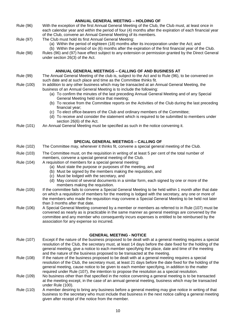| <b>ANNUAL GENERAL MEETING - HOLDING OF</b> |                                                                                                                                                                                                                                                                                                                                                                                            |  |
|--------------------------------------------|--------------------------------------------------------------------------------------------------------------------------------------------------------------------------------------------------------------------------------------------------------------------------------------------------------------------------------------------------------------------------------------------|--|
| <b>Rule (96)</b>                           | With the exception of the first Annual General Meeting of the Club, the Club must, at least once in<br>each calendar year and within the period of four (4) months after the expiration of each financial year<br>of the Club, convene an Annual General Meeting of its members.                                                                                                           |  |
| Rule (97)                                  | The Club must hold its first Annual General Meeting:<br>(a) Within the period of eighteen (18) months after its incorporation under the Act; and                                                                                                                                                                                                                                           |  |
| <b>Rule (98)</b>                           | (b) Within the period of six (6) months after the expiration of the first financial year of the Club.<br>Rules (96) and (97) have effect subject to any extension or permission granted by the Direct General<br>under section 26(3) of the Act.                                                                                                                                           |  |
|                                            | ANNUAL GENERAL MEETINGS - CALLING OF AND BUSINESS AT                                                                                                                                                                                                                                                                                                                                       |  |
| <b>Rule (99)</b>                           | The Annual General Meeting of the club is, subject to the Act and to Rule (96), to be convened on<br>such date and at such place and time as the Committee thinks fit.                                                                                                                                                                                                                     |  |
| Rule (100)                                 | In addition to any other business which may be transacted at an Annual General Meeting, the<br>business of an Annual General Meeting is to include the following:<br>(a) To confirm the minutes of the last preceding Annual General Meeting and of any Special                                                                                                                            |  |
|                                            | General Meeting held since that meeting;<br>(b) To receive from the Committee reports on the Activities of the Club during the last preceding                                                                                                                                                                                                                                              |  |
|                                            | financial year;<br>(c) To elect office-bearers of the Club and ordinary members of the Committee;<br>(d) To receive and consider the statement which is required to be submitted to members under<br>section 26(6) of the Act.                                                                                                                                                             |  |
| Rule (101)                                 | An Annual General Meeting must be specified as such in the notice convening it.                                                                                                                                                                                                                                                                                                            |  |
|                                            |                                                                                                                                                                                                                                                                                                                                                                                            |  |
| Rule (102)                                 | <b>SPECIAL GENERAL MEETINGS - CALLING OF</b><br>The Committee may, whenever it thinks fit, convene a special general meeting of the Club.                                                                                                                                                                                                                                                  |  |
| Rule (103)                                 | The Committee must, on the requisition in writing of at least 5 per cent of the total number of<br>members, convene a special general meeting of the Club.                                                                                                                                                                                                                                 |  |
| Rule (104)                                 | A requisition of members for a special general meeting:<br>(a) Must state the purpose or purposes of the meeting, and<br>(b) Must be signed by the members making the requisition, and<br>(c) Must be lodged with the secretary, and                                                                                                                                                       |  |
|                                            | (d) May consist of several documents in a similar form, each signed by one or more of the<br>members making the requisition.                                                                                                                                                                                                                                                               |  |
| Rule (105)                                 | If the committee fails to convene a Special General Meeting to be held within 1 month after that date<br>on which a requisition of members for the meeting is lodged with the secretary, any one or more of<br>the members who made the requisition may convene a Special General Meeting to be held not later                                                                             |  |
| Rule (106)                                 | than 3 months after that date.<br>A Special General Meeting convened by a member or members as referred to in Rule (107) must be<br>convened as nearly as is practicable in the same manner as general meetings are convened by the<br>committee and any member who consequently incurs expenses is entitled to be reimbursed by the<br>association for any expense so incurred.           |  |
|                                            |                                                                                                                                                                                                                                                                                                                                                                                            |  |
| Rule (107)                                 | <b>GENERAL MEETING - NOTICE</b><br>Except if the nature of the business proposed to be dealt with at a general meeting requires a special                                                                                                                                                                                                                                                  |  |
|                                            | resolution of the Club, the secretary must, at least 14 days before the date fixed for the holding of the<br>general meeting, give a notice to each member specifying the place, date and time of the meeting                                                                                                                                                                              |  |
| Rule (108)                                 | and the nature of the business proposed to be transacted at the meeting.<br>If the nature of the business proposed to be dealt with at a general meeting requires a special<br>resolution of the Club, the secretary must, at least 21 days before the date fixed for the holding of the<br>general meeting, cause notice to be given to each member specifying, in addition to the matter |  |
| Rule (109)                                 | required under Rule (107), the intention to propose the resolution as a special resolution.<br>No business other than that specified in the notice convening a general meeting is to be transacted<br>at the meeting except, in the case of an annual general meeting, business which may be transacted<br>under Rule (100).                                                               |  |
| Rule (110)                                 | A member desiring to bring any business before a general meeting may give notice in writing of that<br>business to the secretary who must include that business in the next notice calling a general meeting                                                                                                                                                                               |  |

given after receipt of the notice from the member.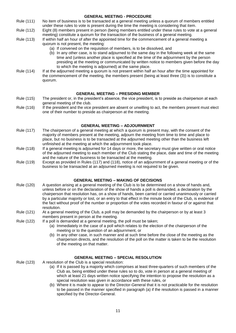#### **GENERAL MEETING - PROCEDURE** Rule (111) No item of business is to be transacted at a general meeting unless a quorum of members entitled under these rules to vote is present during the time the meeting is considering that item. Rule (112) Eight (8) members present in person (being members entitled under these rules to vote at a general meeting) constitute a quorum for the transaction of the business of a general meeting. Rule (113) If within half an hour of after the appointed time for the commencement of a general meeting a quorum is not present, the meeting: (a) If convened on the requisition of members, is to be dissolved, and (b) In any other case, is to stand adjourned to the same day in the following week at the same time and (unless another place is specified at the time of the adjournment by the person presiding at the meeting or communicated by written notice to members given before the day to which the meeting is adjourned) at the same place. Rule (114) If at the adjourned meeting a quorum is not present within half an hour after the time appointed for the commencement of the meeting, the members present (being at least three (3)) is to constitute a quorum.

#### **GENERAL MEETING – PRESIDING MEMBER**

- Rule (115) The president or, in the president's absence, the vice president, is to preside as chairperson at each general meeting of the club.
- Rule (116) If the president and the vice president are absent or unwilling to act, the members present must elect one of their number to preside as chairperson at the meeting.

#### **GENERAL MEETING – ADJOURNMENT**

- Rule (117) The chairperson of a general meeting at which a quorum is present may, with the consent of the majority of members present at the meeting, adjourn the meeting from time to time and place to place, but no business is to be transacted at the adjourned meeting other than the business left unfinished at the meeting at which the adjournment took place.
- Rule (118) If a general meeting is adjourned for 14 days or more, the secretary must give written or oral notice of the adjourned meeting to each member of the Club stating the place, date and time of the meeting and the nature of the business to be transacted at the meeting.
- Rule (119) Except as provided in Rules (117) and (118), notice of an adjournment of a general meeting or of the business to be transacted at an adjourned meeting is not required to be given.

#### **GENERAL MEETING – MAKING OF DECISIONS**

- Rule (120) A question arising at a general meeting of the Club is to be determined on a show of hands and, unless before or on the declaration of the show of hands a poll is demanded, a declaration by the chairperson that resolution has, on a show of hands, been carried or carried unanimously or carried by a particular majority or lost, or an entry to that effect in the minute book of the Club, is evidence of the fact without proof of the number or proportion of the votes recorded in favour of or against that resolution.
- Rule (121) At a general meeting of the Club, a poll may be demanded by the chairperson or by at least 3 members present in person at the meeting.
- Rule (122) If a poll is demanded at a general meeting, the poll must be taken;
	- (a) Immediately in the case of a poll which relates to the election of the chairperson of the meeting or to the question of an adjournment, or
	- (b) In any other case, in such manner and at such time before the close of the meeting as the chairperson directs, and the resolution of the poll on the matter is taken to be the resolution of the meeting on that matter.

#### **GENERAL MEETING – SPECIAL RESOLUTION**

- Rule (123) A resolution of the Club is a special resolution:
	- (a) If it is passed by a majority which comprises at least three-quarters of such members of the Club as, being entitled under these rules so to do, vote in person at a general meeting of which at least 21 days written notice specifying the intention to propose the resolution as a special resolution was given in accordance with these rules, or
	- (b) Where it is made to appear to the Director-General that it is not practicable for the resolution to be passed in the manner specified in paragraph (a) if the resolution is passed in a manner specified by the Director-General.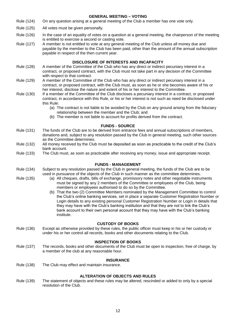#### **GENERAL MEETING – VOTING**

- Rule (124) On any question arising at a general meeting of the Club a member has one vote only.
- Rule (125) All votes must be given personally.
- Rule (126) In the case of an equality of votes on a question at a general meeting, the chairperson of the meeting is entitled to exercise a second or casting vote.
- Rule (127) A member is not entitled to vote at any general meeting of the Club unless all money due and payable by the member to the Club has been paid, other than the amount of the annual subscription payable in respect of the then current year.

#### **DISCLOSURE OF INTERESTS AND INCAPACITY**

- Rule (128) A member of the Committee of the Club who has any direct or indirect pecuniary interest in a contract, or proposed contract, with the Club must not take part in any decision of the Committee with respect to that contract.
- Rule (129) A member of the Committee of the Club who has any direct or indirect pecuniary interest in a contract, or proposed contract, with the Club must, as soon as he or she becomes aware of his or her interest, disclose the nature and extent of his or her interest to the Committee.
- Rule (130) If a member of the Committee of the Club discloses a pecuniary interest in a contract, or proposed contract, in accordance with this Rule, or his or her interest is not such as need be disclosed under this Rule:
	- (a) The contract is not liable to be avoided by the Club on any ground arising from the fiduciary relationship between the member and the Club; and
	- (b) The member is not liable to account for profits derived from the contract.

#### **FUNDS - SOURCE**

- Rule (131) The funds of the Club are to be derived from entrance fees and annual subscriptions of members, donations and, subject to any resolution passed by the Club in general meeting, such other sources as the Committee determines.
- Rule (132) All money received by the Club must be deposited as soon as practicable to the credit of the Club's bank account.
- Rule (133) The Club must, as soon as practicable after receiving any money, issue and appropriate receipt.

#### **FUNDS - MANAGEMENT**

- Rule (134) Subject to any resolution passed by the Club in general meeting, the funds of the Club are to be used in pursuance of the objects of the Club in such manner as the committee determines.
- Rule (135) (a) All cheques, drafts, bills of exchange, promissory notes and other negotiable instruments must be signed by any 2 members of the Committee or employees of the Club, being members or employees authorised to do so by the Committee.
	- (b) That the two (2) Committee Members nominated by the Management Committee to control the Club's online banking services, set in place a separate Customer Registration Number or Login details to any existing personal Customer Registration Number or Login in details that they may have with the Club's banking institution and that they are not to link the Club's bank account to their own personal account that they may have with the Club's banking institute.

#### **CUSTODY OF BOOKS**

Rule (136) Except as otherwise provided by these rules, the public officer must keep in his or her custody or under his or her control all records, books and other documents relating to the Club.

#### **INSPECTION OF BOOKS**

Rule (137) The records, books and other documents of the Club must be open to inspection, free of charge, by a member of the club at any reasonable hour.

#### **INSURANCE**

Rule (138) The Club may effect and maintain insurance.

#### **ALTERATION OF OBJECTS AND RULES**

Rule (139) The statement of objects and these rules may be altered, rescinded or added to only by a special resolution of the Club.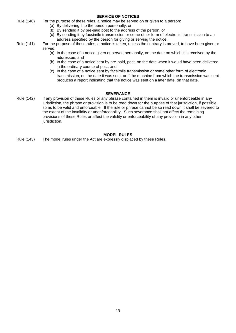#### **SERVICE OF NOTICES**

- Rule (140) For the purpose of these rules, a notice may be served on or given to a person:
	- (a) By delivering it to the person personally, or
	- (b) By sending it by pre-paid post to the address of the person, or
	- (c) By sending it by facsimile transmission or some other form of electronic transmission to an address specified by the person for giving or serving the notice.
- Rule (141) For the purpose of these rules, a notice is taken, unless the contrary is proved, to have been given or served:
	- (a) In the case of a notice given or served personally, on the date on which it is received by the addressee, and
	- (b) In the case of a notice sent by pre-paid, post, on the date when it would have been delivered in the ordinary course of post, and
	- (c) In the case of a notice sent by facsimile transmission or some other form of electronic transmission, on the date it was sent, or if the machine from which the transmission was sent produces a report indicating that the notice was sent on a later date, on that date.

#### **SEVERANCE**

Rule (142) If any provision of these Rules or any phrase contained in them is invalid or unenforceable in any jurisdiction, the phrase or provision is to be read down for the purpose of that jurisdiction, if possible, so as to be valid and enforceable. If the rule or phrase cannot be so read down it shall be severed to the extent of the invalidity or unenforceability. Such severance shall not affect the remaining provisions of these Rules or affect the validity or enforceability of any provision in any other jurisdiction.

### **MODEL RULES**

Rule (143) The model rules under the Act are expressly displaced by these Rules.